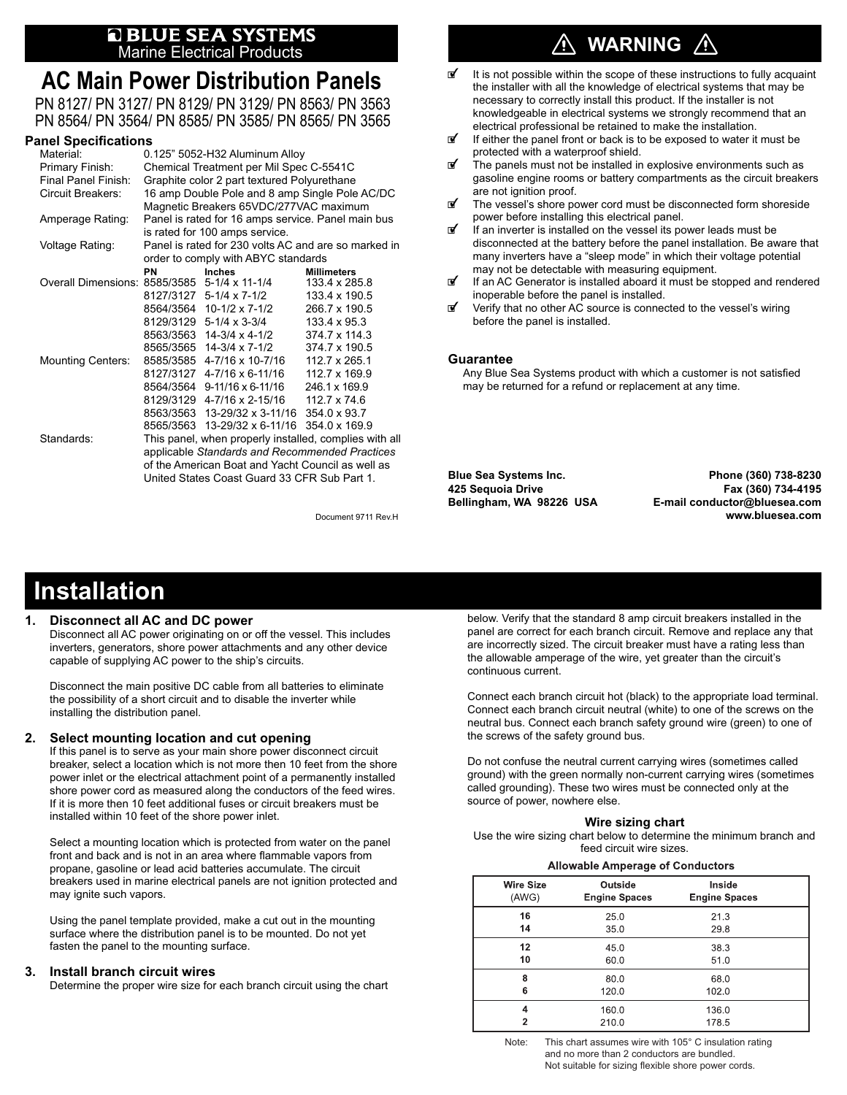# **Q BLUE SEA SYSTEMS**<br>Marine Electrical Products

## **AC Main Power Distribution Panels**

PN 8127/ PN 3127/ PN 8129/ PN 3129/ PN 8563/ PN 3563 PN 8564/ PN 3564/ PN 8585/ PN 3585/ PN 8565/ PN 3565

### **Panel Specifications**

| Material:                                    | 0.125" 5052-H32 Aluminum Alloy                       |                                            |                                                        |  |
|----------------------------------------------|------------------------------------------------------|--------------------------------------------|--------------------------------------------------------|--|
| Primary Finish:                              | Chemical Treatment per Mil Spec C-5541C              |                                            |                                                        |  |
| Final Panel Finish:                          | Graphite color 2 part textured Polyurethane          |                                            |                                                        |  |
| <b>Circuit Breakers:</b>                     | 16 amp Double Pole and 8 amp Single Pole AC/DC       |                                            |                                                        |  |
|                                              |                                                      | Magnetic Breakers 65VDC/277VAC maximum     |                                                        |  |
| Amperage Rating:                             | Panel is rated for 16 amps service. Panel main bus   |                                            |                                                        |  |
|                                              |                                                      | is rated for 100 amps service.             |                                                        |  |
| Voltage Rating:                              | Panel is rated for 230 volts AC and are so marked in |                                            |                                                        |  |
|                                              | order to comply with ABYC standards                  |                                            |                                                        |  |
|                                              | PN                                                   | <b>Inches</b>                              | <b>Millimeters</b>                                     |  |
| Overall Dimensions: 8585/3585 5-1/4 x 11-1/4 |                                                      |                                            | 133.4 x 285.8                                          |  |
|                                              |                                                      | 8127/3127 5-1/4 x 7-1/2                    | 133.4 x 190.5                                          |  |
|                                              |                                                      | 8564/3564 10-1/2 x 7-1/2                   | 266.7 x 190.5                                          |  |
|                                              |                                                      | 8129/3129 5-1/4 x 3-3/4                    | 133.4 x 95.3                                           |  |
|                                              |                                                      | 8563/3563 14-3/4 x 4-1/2                   | 374.7 x 114.3                                          |  |
|                                              |                                                      | 8565/3565 14-3/4 x 7-1/2                   | 374.7 x 190.5                                          |  |
| <b>Mounting Centers:</b>                     |                                                      | 8585/3585 4-7/16 x 10-7/16                 | 112.7 x 265.1                                          |  |
|                                              |                                                      | 8127/3127 4-7/16 x 6-11/16                 | 112.7 x 169.9                                          |  |
|                                              |                                                      | 8564/3564 9-11/16 x 6-11/16                | 246.1 x 169.9                                          |  |
|                                              |                                                      | 8129/3129 4-7/16 x 2-15/16                 | 112.7 x 74.6                                           |  |
|                                              |                                                      | 8563/3563 13-29/32 x 3-11/16 354.0 x 93.7  |                                                        |  |
|                                              |                                                      | 8565/3563 13-29/32 x 6-11/16 354.0 x 169.9 |                                                        |  |
| Standards:                                   |                                                      |                                            | This panel, when properly installed, complies with all |  |
|                                              | applicable Standards and Recommended Practices       |                                            |                                                        |  |
|                                              | of the American Boat and Yacht Council as well as    |                                            |                                                        |  |
|                                              | United States Coast Guard 33 CFR Sub Part 1.         |                                            |                                                        |  |

# **WARNING**

- It is not possible within the scope of these instructions to fully acquaint the installer with all the knowledge of electrical systems that may be necessary to correctly install this product. If the installer is not knowledgeable in electrical systems we strongly recommend that an electrical professional be retained to make the installation.
- If either the panel front or back is to be exposed to water it must be protected with a waterproof shield.
- $\mathbb{F}$  The panels must not be installed in explosive environments such as gasoline engine rooms or battery compartments as the circuit breakers are not ignition proof.<br>The vessel's shore po
- The vessel's shore power cord must be disconnected form shoreside power before installing this electrical panel.
- $\mathbf{F}$  If an inverter is installed on the vessel its power leads must be disconnected at the battery before the panel installation. Be aware that many inverters have a "sleep mode" in which their voltage potential may not be detectable with measuring equipment.<br>If an AC Generator is installed aboard it must be st
- If an AC Generator is installed aboard it must be stopped and rendered inoperable before the panel is installed.
- Verify that no other AC source is connected to the vessel's wiring before the panel is installed.

#### **Guarantee**

Any Blue Sea Systems product with which a customer is not satisfied may be returned for a refund or replacement at any time.

United States Coast Guard 33 CFR Sub Part 1. **Blue Sea Systems Inc. Phone (360) 738-8230 425 Sequoia Drive Fax (360) 734-4195 Bellingham, WA 98226 USA E-mail conductor@bluesea.com** Document 9711 Rev.H **www.bluesea.com**

# **Installation**

#### **1. Disconnect all AC and DC power**

 Disconnect all AC power originating on or off the vessel. This includes inverters, generators, shore power attachments and any other device capable of supplying AC power to the ship's circuits.

 Disconnect the main positive DC cable from all batteries to eliminate the possibility of a short circuit and to disable the inverter while installing the distribution panel.

### **2. Select mounting location and cut opening**

 If this panel is to serve as your main shore power disconnect circuit breaker, select a location which is not more then 10 feet from the shore power inlet or the electrical attachment point of a permanently installed shore power cord as measured along the conductors of the feed wires. If it is more then 10 feet additional fuses or circuit breakers must be installed within 10 feet of the shore power inlet.

 Select a mounting location which is protected from water on the panel front and back and is not in an area where flammable vapors from propane, gasoline or lead acid batteries accumulate. The circuit breakers used in marine electrical panels are not ignition protected and may ignite such vapors.

 Using the panel template provided, make a cut out in the mounting surface where the distribution panel is to be mounted. Do not yet fasten the panel to the mounting surface.

#### **3. Install branch circuit wires**

Determine the proper wire size for each branch circuit using the chart

below. Verify that the standard 8 amp circuit breakers installed in the panel are correct for each branch circuit. Remove and replace any that are incorrectly sized. The circuit breaker must have a rating less than the allowable amperage of the wire, yet greater than the circuit's continuous current.

Connect each branch circuit hot (black) to the appropriate load terminal. Connect each branch circuit neutral (white) to one of the screws on the neutral bus. Connect each branch safety ground wire (green) to one of the screws of the safety ground bus.

Do not confuse the neutral current carrying wires (sometimes called ground) with the green normally non-current carrying wires (sometimes called grounding). These two wires must be connected only at the source of power, nowhere else.

#### **Wire sizing chart**

 Use the wire sizing chart below to determine the minimum branch and feed circuit wire sizes.

|  | <b>Allowable Amperage of Conductors</b> |
|--|-----------------------------------------|
|  |                                         |

| <b>Wire Size</b> | Outside              | Inside               |
|------------------|----------------------|----------------------|
| (AWG)            | <b>Engine Spaces</b> | <b>Engine Spaces</b> |
| 16               | 25.0                 | 21.3                 |
| 14               | 35.0                 | 29.8                 |
| 12               | 45.0                 | 38.3                 |
| 10               | 60.0                 | 51.0                 |
| 8                | 80.0                 | 68.0                 |
| 6                | 120.0                | 102.0                |
| 4                | 160.0                | 136.0                |
| 2                | 210.0                | 178.5                |

Note: This chart assumes wire with 105° C insulation rating and no more than 2 conductors are bundled. Not suitable for sizing flexible shore power cords.